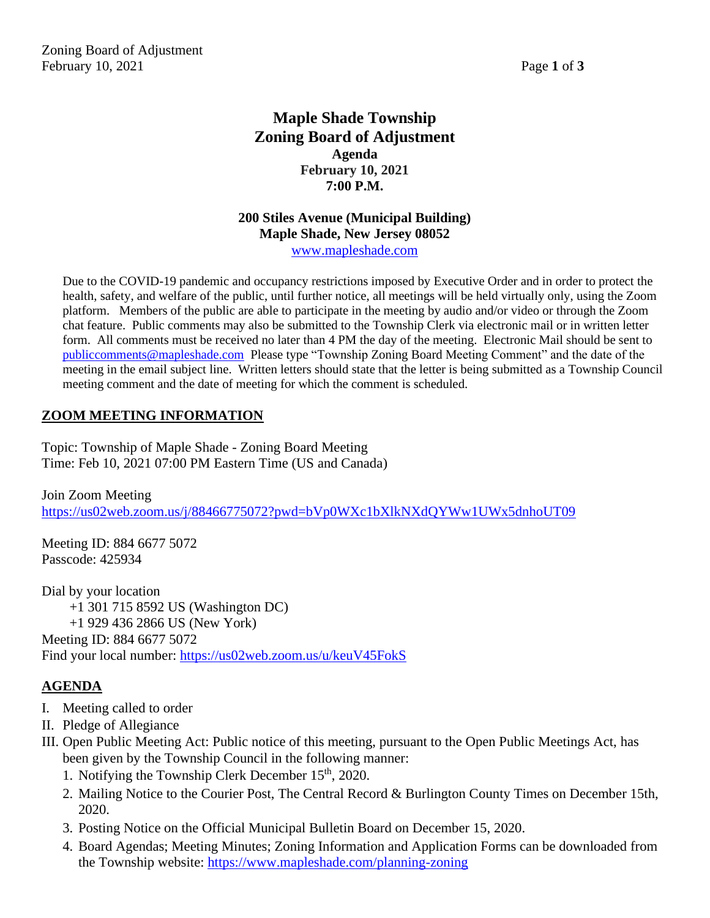Zoning Board of Adjustment February 10, 2021 **Page 1** of **3** 

# **Maple Shade Township Zoning Board of Adjustment Agenda February 10, 2021 7:00 P.M.**

#### **200 Stiles Avenue (Municipal Building) Maple Shade, New Jersey 08052** [www.mapleshade.com](http://www.mapleshade.com/)

Due to the COVID-19 pandemic and occupancy restrictions imposed by Executive Order and in order to protect the health, safety, and welfare of the public, until further notice, all meetings will be held virtually only, using the Zoom platform. Members of the public are able to participate in the meeting by audio and/or video or through the Zoom chat feature. Public comments may also be submitted to the Township Clerk via electronic mail or in written letter form. All comments must be received no later than 4 PM the day of the meeting. Electronic Mail should be sent to [publiccomments@mapleshade.com](mailto:publiccomments@mapleshade.com) Please type "Township Zoning Board Meeting Comment" and the date of the meeting in the email subject line. Written letters should state that the letter is being submitted as a Township Council meeting comment and the date of meeting for which the comment is scheduled.

# **ZOOM MEETING INFORMATION**

Topic: Township of Maple Shade - Zoning Board Meeting Time: Feb 10, 2021 07:00 PM Eastern Time (US and Canada)

Join Zoom Meeting <https://us02web.zoom.us/j/88466775072?pwd=bVp0WXc1bXlkNXdQYWw1UWx5dnhoUT09>

Meeting ID: 884 6677 5072 Passcode: 425934

Dial by your location +1 301 715 8592 US (Washington DC) +1 929 436 2866 US (New York) Meeting ID: 884 6677 5072 Find your local number:<https://us02web.zoom.us/u/keuV45FokS>

# **AGENDA**

- I. Meeting called to order
- II. Pledge of Allegiance
- III. Open Public Meeting Act: Public notice of this meeting, pursuant to the Open Public Meetings Act, has been given by the Township Council in the following manner:
	- 1. Notifying the Township Clerk December  $15<sup>th</sup>$ , 2020.
	- 2. Mailing Notice to the Courier Post, The Central Record & Burlington County Times on December 15th, 2020.
	- 3. Posting Notice on the Official Municipal Bulletin Board on December 15, 2020.
	- 4. Board Agendas; Meeting Minutes; Zoning Information and Application Forms can be downloaded from the Township website:<https://www.mapleshade.com/planning-zoning>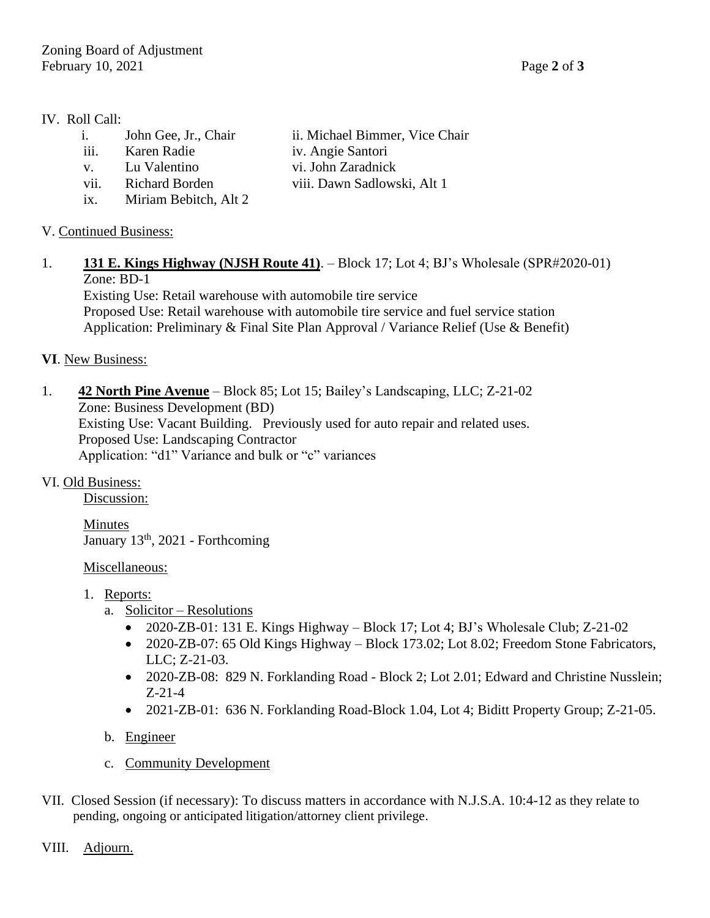#### IV. Roll Call:

- i. John Gee, Jr., Chair ii. Michael Bimmer, Vice Chair
- iii. Karen Radie iv. Angie Santori
- v. Lu Valentino vi. John Zaradnick
- vii. Richard Borden viii. Dawn Sadlowski, Alt 1
- ix. Miriam Bebitch, Alt 2

# V. Continued Business:

1. **131 E. Kings Highway (NJSH Route 41)**. – Block 17; Lot 4; BJ's Wholesale (SPR#2020-01) Zone: BD-1

Existing Use: Retail warehouse with automobile tire service Proposed Use: Retail warehouse with automobile tire service and fuel service station Application: Preliminary & Final Site Plan Approval / Variance Relief (Use & Benefit)

### **VI**. New Business:

1. **42 North Pine Avenue** – Block 85; Lot 15; Bailey's Landscaping, LLC; Z-21-02 Zone: Business Development (BD) Existing Use: Vacant Building. Previously used for auto repair and related uses. Proposed Use: Landscaping Contractor Application: "d1" Variance and bulk or "c" variances

# VI. Old Business:

Discussion:

Minutes January 13<sup>th</sup>, 2021 - Forthcoming

#### Miscellaneous:

- 1. Reports:
	- a. Solicitor Resolutions
		- 2020-ZB-01: 131 E. Kings Highway Block 17; Lot 4; BJ's Wholesale Club; Z-21-02
		- 2020-ZB-07: 65 Old Kings Highway Block 173.02; Lot 8.02; Freedom Stone Fabricators, LLC; Z-21-03.
		- 2020-ZB-08: 829 N. Forklanding Road Block 2; Lot 2.01; Edward and Christine Nusslein; Z-21-4
		- 2021-ZB-01: 636 N. Forklanding Road-Block 1.04, Lot 4; Biditt Property Group; Z-21-05.
	- b. Engineer
	- c. Community Development
- VII. Closed Session (if necessary): To discuss matters in accordance with N.J.S.A. 10:4-12 as they relate to pending, ongoing or anticipated litigation/attorney client privilege.

#### VIII. Adjourn.